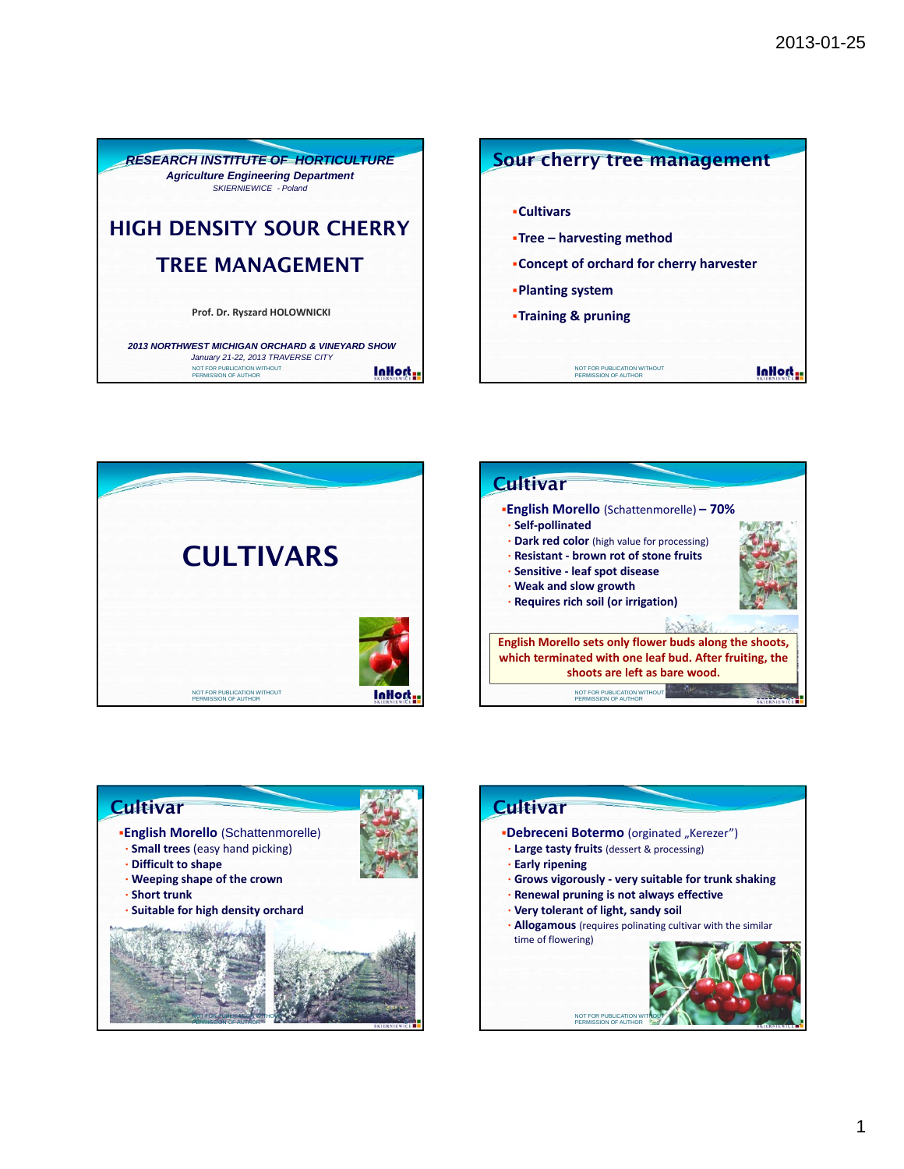







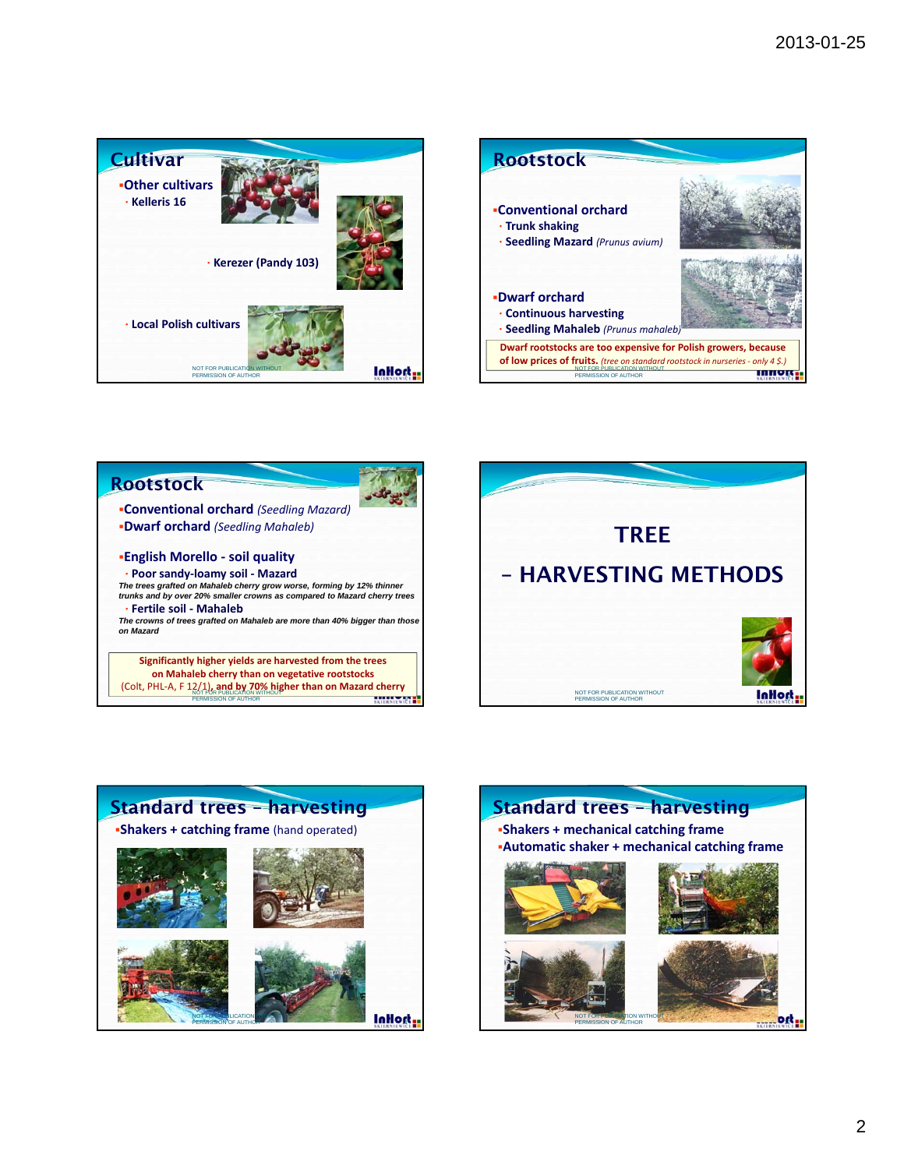









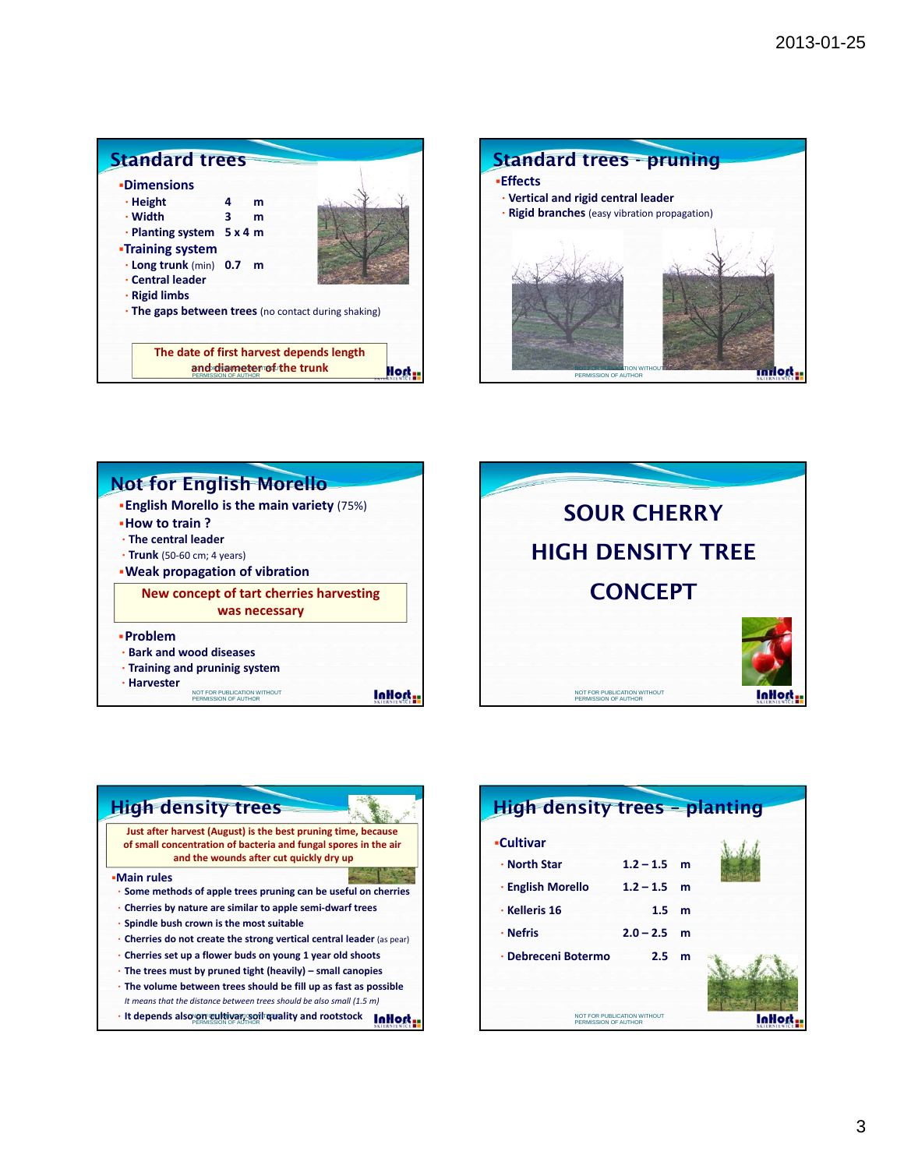



## Not for English Morello **Problem** • **Bark and wood diseases** • **Training and pruninig system** • **Harvester New concept of tart cherries harvesting was necessary English Morello is the main variety** (75%) **How to train ?** • **The central leader** • **Trunk** (50‐60 cm; 4 years) **Weak propagation of vibration** NOT FOR PUBLICATION WITHOUT **EXAMPLE AND THE UPPER STATES OF A STATES OF A STATES OF A STATES OF A STATES OF A**





| <b>High density trees - planting</b>                |                 |   |  |
|-----------------------------------------------------|-----------------|---|--|
| <b>-Cultivar</b><br>$\cdot$ North Star              | $1.2 - 1.5$ m   |   |  |
| · English Morello                                   | $1.2 - 1.5$ m   |   |  |
| · Kelleris 16                                       | $1.5 \text{ m}$ |   |  |
| · Nefris                                            | $2.0 - 2.5$ m   |   |  |
| · Debreceni Botermo                                 | 2.5             | m |  |
| NOT FOR PUBLICATION WITHOUT<br>PERMISSION OF AUTHOR |                 |   |  |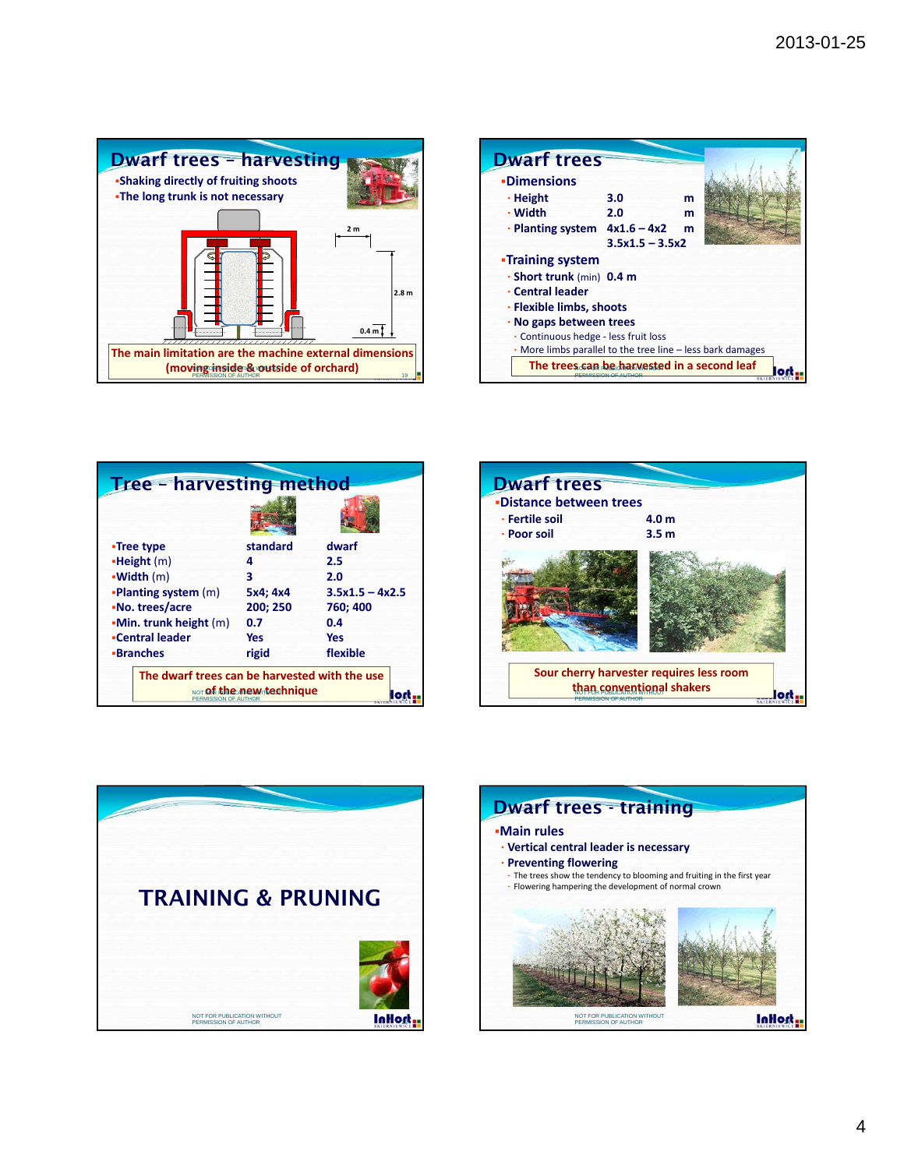

| <b>Dwarf trees</b>                          |                   |                                                            |  |  |  |
|---------------------------------------------|-------------------|------------------------------------------------------------|--|--|--|
| <b>-Dimensions</b>                          |                   |                                                            |  |  |  |
| $\cdot$ Height                              | 3.0               | m                                                          |  |  |  |
| · Width                                     | 2.0               | m                                                          |  |  |  |
| $\cdot$ Planting system $4x1.6 - 4x2$       |                   | m                                                          |  |  |  |
|                                             | $3.5x1.5 - 3.5x2$ |                                                            |  |  |  |
| <b>-Training system</b>                     |                   |                                                            |  |  |  |
| · Short trunk (min) 0.4 m                   |                   |                                                            |  |  |  |
| · Central leader                            |                   |                                                            |  |  |  |
| · Flexible limbs, shoots                    |                   |                                                            |  |  |  |
| $\cdot$ No gaps between trees               |                   |                                                            |  |  |  |
| · Continuous hedge - less fruit loss        |                   |                                                            |  |  |  |
|                                             |                   | . More limbs parallel to the tree line – less bark damages |  |  |  |
| The trees can be harvested in a second leaf |                   |                                                            |  |  |  |

| <b>Tree - harvesting method</b>               |                          |                   |  |  |  |
|-----------------------------------------------|--------------------------|-------------------|--|--|--|
|                                               |                          |                   |  |  |  |
| •Tree type                                    | standard                 | dwarf             |  |  |  |
| <b>-Height</b> (m)                            | 4                        | 2.5               |  |  |  |
| -Width (m)                                    | 3                        | 2.0               |  |  |  |
| <b>-Planting system (m)</b>                   | 5x4; 4x4                 | $3.5x1.5 - 4x2.5$ |  |  |  |
| -No. trees/acre                               | 200; 250                 | 760; 400          |  |  |  |
| $-Min.$ trunk height $(m)$                    | 0.7                      | 0.4               |  |  |  |
| -Central leader                               | Yes                      | <b>Yes</b>        |  |  |  |
| <b>-Branches</b>                              | rigid                    | flexible          |  |  |  |
| The dwarf trees can be harvested with the use |                          |                   |  |  |  |
| PERMISSION OF AUTH                            | NOT Of the new technique |                   |  |  |  |





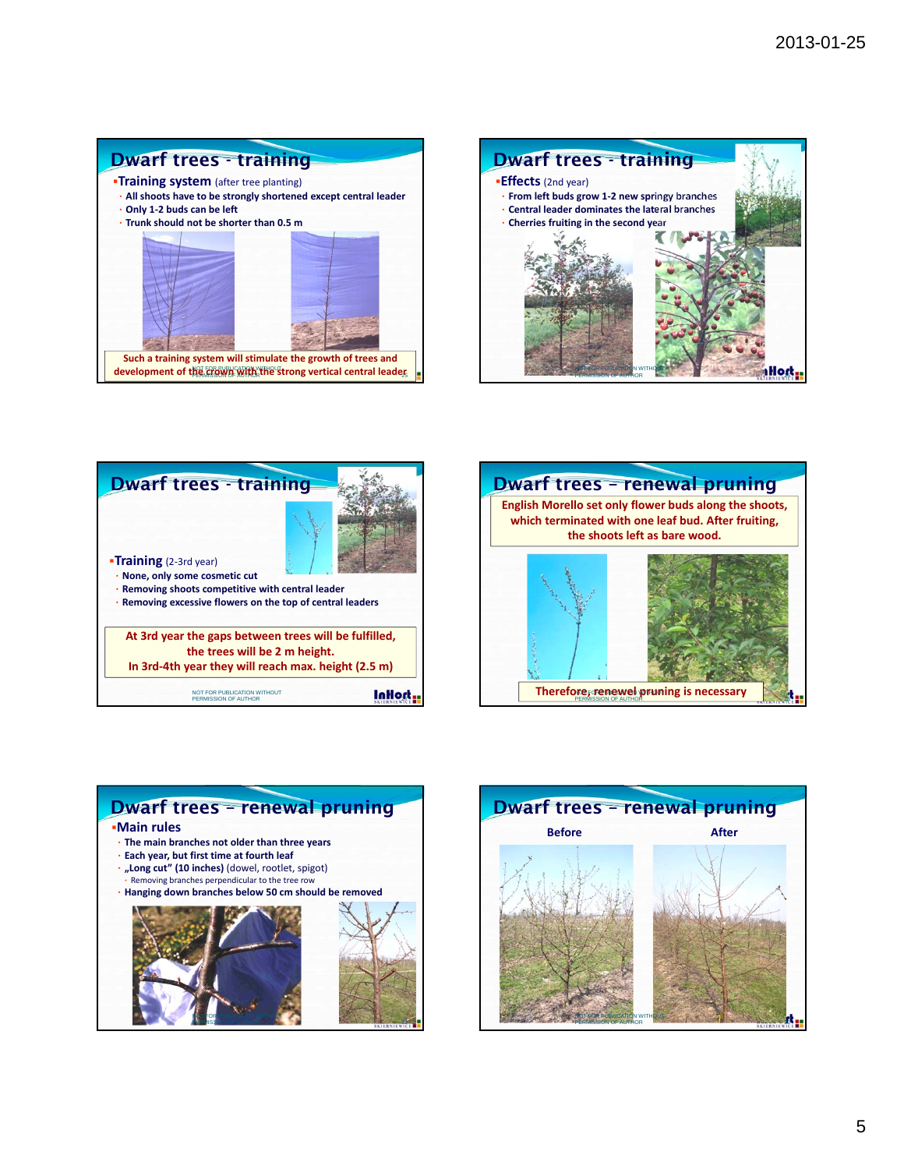## Dwarf trees - training

**Training system** (after tree planting)

- **All shoots have to be strongly shortened except central leader** • **Only 1‐2 buds can be left**
- **Trunk should not be shorter than 0.5 m**